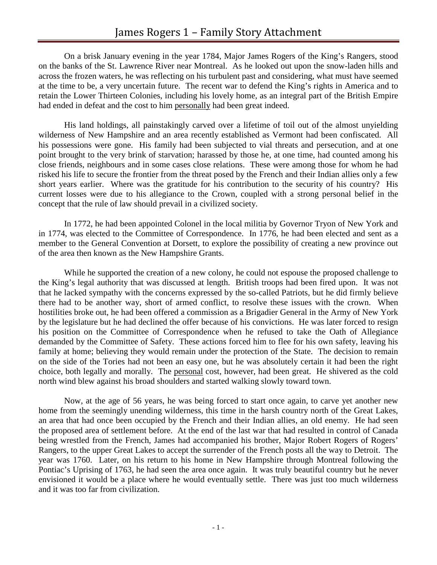On a brisk January evening in the year 1784, Major James Rogers of the King's Rangers, stood on the banks of the St. Lawrence River near Montreal. As he looked out upon the snow-laden hills and across the frozen waters, he was reflecting on his turbulent past and considering, what must have seemed at the time to be, a very uncertain future. The recent war to defend the King's rights in America and to retain the Lower Thirteen Colonies, including his lovely home, as an integral part of the British Empire had ended in defeat and the cost to him personally had been great indeed.

His land holdings, all painstakingly carved over a lifetime of toil out of the almost unyielding wilderness of New Hampshire and an area recently established as Vermont had been confiscated. All his possessions were gone. His family had been subjected to vial threats and persecution, and at one point brought to the very brink of starvation; harassed by those he, at one time, had counted among his close friends, neighbours and in some cases close relations. These were among those for whom he had risked his life to secure the frontier from the threat posed by the French and their Indian allies only a few short years earlier. Where was the gratitude for his contribution to the security of his country? His current losses were due to his allegiance to the Crown, coupled with a strong personal belief in the concept that the rule of law should prevail in a civilized society.

In 1772, he had been appointed Colonel in the local militia by Governor Tryon of New York and in 1774, was elected to the Committee of Correspondence. In 1776, he had been elected and sent as a member to the General Convention at Dorsett, to explore the possibility of creating a new province out of the area then known as the New Hampshire Grants.

While he supported the creation of a new colony, he could not espouse the proposed challenge to the King's legal authority that was discussed at length. British troops had been fired upon. It was not that he lacked sympathy with the concerns expressed by the so-called Patriots, but he did firmly believe there had to be another way, short of armed conflict, to resolve these issues with the crown. When hostilities broke out, he had been offered a commission as a Brigadier General in the Army of New York by the legislature but he had declined the offer because of his convictions. He was later forced to resign his position on the Committee of Correspondence when he refused to take the Oath of Allegiance demanded by the Committee of Safety. These actions forced him to flee for his own safety, leaving his family at home; believing they would remain under the protection of the State. The decision to remain on the side of the Tories had not been an easy one, but he was absolutely certain it had been the right choice, both legally and morally. The personal cost, however, had been great. He shivered as the cold north wind blew against his broad shoulders and started walking slowly toward town.

Now, at the age of 56 years, he was being forced to start once again, to carve yet another new home from the seemingly unending wilderness, this time in the harsh country north of the Great Lakes, an area that had once been occupied by the French and their Indian allies, an old enemy. He had seen the proposed area of settlement before. At the end of the last war that had resulted in control of Canada being wrestled from the French, James had accompanied his brother, Major Robert Rogers of Rogers' Rangers, to the upper Great Lakes to accept the surrender of the French posts all the way to Detroit. The year was 1760. Later, on his return to his home in New Hampshire through Montreal following the Pontiac's Uprising of 1763, he had seen the area once again. It was truly beautiful country but he never envisioned it would be a place where he would eventually settle. There was just too much wilderness and it was too far from civilization.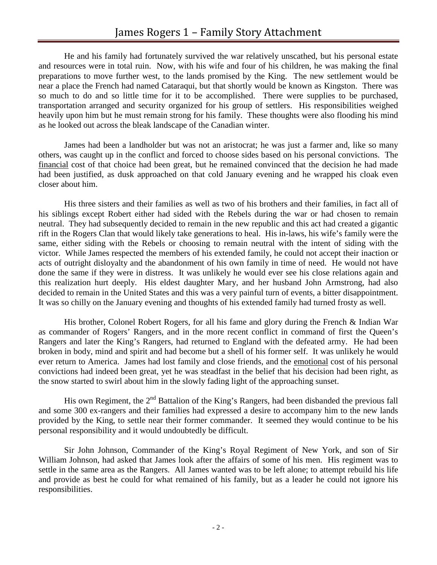He and his family had fortunately survived the war relatively unscathed, but his personal estate and resources were in total ruin. Now, with his wife and four of his children, he was making the final preparations to move further west, to the lands promised by the King. The new settlement would be near a place the French had named Cataraqui, but that shortly would be known as Kingston. There was so much to do and so little time for it to be accomplished. There were supplies to be purchased, transportation arranged and security organized for his group of settlers. His responsibilities weighed heavily upon him but he must remain strong for his family. These thoughts were also flooding his mind as he looked out across the bleak landscape of the Canadian winter.

James had been a landholder but was not an aristocrat; he was just a farmer and, like so many others, was caught up in the conflict and forced to choose sides based on his personal convictions. The financial cost of that choice had been great, but he remained convinced that the decision he had made had been justified, as dusk approached on that cold January evening and he wrapped his cloak even closer about him.

His three sisters and their families as well as two of his brothers and their families, in fact all of his siblings except Robert either had sided with the Rebels during the war or had chosen to remain neutral. They had subsequently decided to remain in the new republic and this act had created a gigantic rift in the Rogers Clan that would likely take generations to heal. His in-laws, his wife's family were the same, either siding with the Rebels or choosing to remain neutral with the intent of siding with the victor. While James respected the members of his extended family, he could not accept their inaction or acts of outright disloyalty and the abandonment of his own family in time of need. He would not have done the same if they were in distress. It was unlikely he would ever see his close relations again and this realization hurt deeply. His eldest daughter Mary, and her husband John Armstrong, had also decided to remain in the United States and this was a very painful turn of events, a bitter disappointment. It was so chilly on the January evening and thoughts of his extended family had turned frosty as well.

His brother, Colonel Robert Rogers, for all his fame and glory during the French & Indian War as commander of Rogers' Rangers, and in the more recent conflict in command of first the Queen's Rangers and later the King's Rangers, had returned to England with the defeated army. He had been broken in body, mind and spirit and had become but a shell of his former self. It was unlikely he would ever return to America. James had lost family and close friends, and the emotional cost of his personal convictions had indeed been great, yet he was steadfast in the belief that his decision had been right, as the snow started to swirl about him in the slowly fading light of the approaching sunset.

His own Regiment, the  $2^{nd}$  Battalion of the King's Rangers, had been disbanded the previous fall and some 300 ex-rangers and their families had expressed a desire to accompany him to the new lands provided by the King, to settle near their former commander. It seemed they would continue to be his personal responsibility and it would undoubtedly be difficult.

Sir John Johnson, Commander of the King's Royal Regiment of New York, and son of Sir William Johnson, had asked that James look after the affairs of some of his men. His regiment was to settle in the same area as the Rangers. All James wanted was to be left alone; to attempt rebuild his life and provide as best he could for what remained of his family, but as a leader he could not ignore his responsibilities.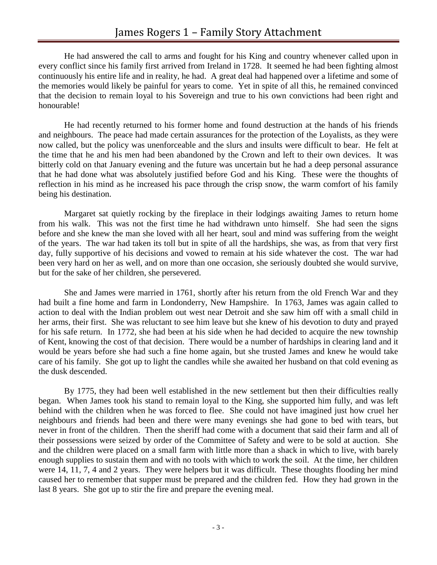He had answered the call to arms and fought for his King and country whenever called upon in every conflict since his family first arrived from Ireland in 1728. It seemed he had been fighting almost continuously his entire life and in reality, he had. A great deal had happened over a lifetime and some of the memories would likely be painful for years to come. Yet in spite of all this, he remained convinced that the decision to remain loyal to his Sovereign and true to his own convictions had been right and honourable!

He had recently returned to his former home and found destruction at the hands of his friends and neighbours. The peace had made certain assurances for the protection of the Loyalists, as they were now called, but the policy was unenforceable and the slurs and insults were difficult to bear. He felt at the time that he and his men had been abandoned by the Crown and left to their own devices. It was bitterly cold on that January evening and the future was uncertain but he had a deep personal assurance that he had done what was absolutely justified before God and his King. These were the thoughts of reflection in his mind as he increased his pace through the crisp snow, the warm comfort of his family being his destination.

Margaret sat quietly rocking by the fireplace in their lodgings awaiting James to return home from his walk. This was not the first time he had withdrawn unto himself. She had seen the signs before and she knew the man she loved with all her heart, soul and mind was suffering from the weight of the years. The war had taken its toll but in spite of all the hardships, she was, as from that very first day, fully supportive of his decisions and vowed to remain at his side whatever the cost. The war had been very hard on her as well, and on more than one occasion, she seriously doubted she would survive, but for the sake of her children, she persevered.

She and James were married in 1761, shortly after his return from the old French War and they had built a fine home and farm in Londonderry, New Hampshire. In 1763, James was again called to action to deal with the Indian problem out west near Detroit and she saw him off with a small child in her arms, their first. She was reluctant to see him leave but she knew of his devotion to duty and prayed for his safe return. In 1772, she had been at his side when he had decided to acquire the new township of Kent, knowing the cost of that decision. There would be a number of hardships in clearing land and it would be years before she had such a fine home again, but she trusted James and knew he would take care of his family. She got up to light the candles while she awaited her husband on that cold evening as the dusk descended.

By 1775, they had been well established in the new settlement but then their difficulties really began. When James took his stand to remain loyal to the King, she supported him fully, and was left behind with the children when he was forced to flee. She could not have imagined just how cruel her neighbours and friends had been and there were many evenings she had gone to bed with tears, but never in front of the children. Then the sheriff had come with a document that said their farm and all of their possessions were seized by order of the Committee of Safety and were to be sold at auction. She and the children were placed on a small farm with little more than a shack in which to live, with barely enough supplies to sustain them and with no tools with which to work the soil. At the time, her children were 14, 11, 7, 4 and 2 years. They were helpers but it was difficult. These thoughts flooding her mind caused her to remember that supper must be prepared and the children fed. How they had grown in the last 8 years. She got up to stir the fire and prepare the evening meal.